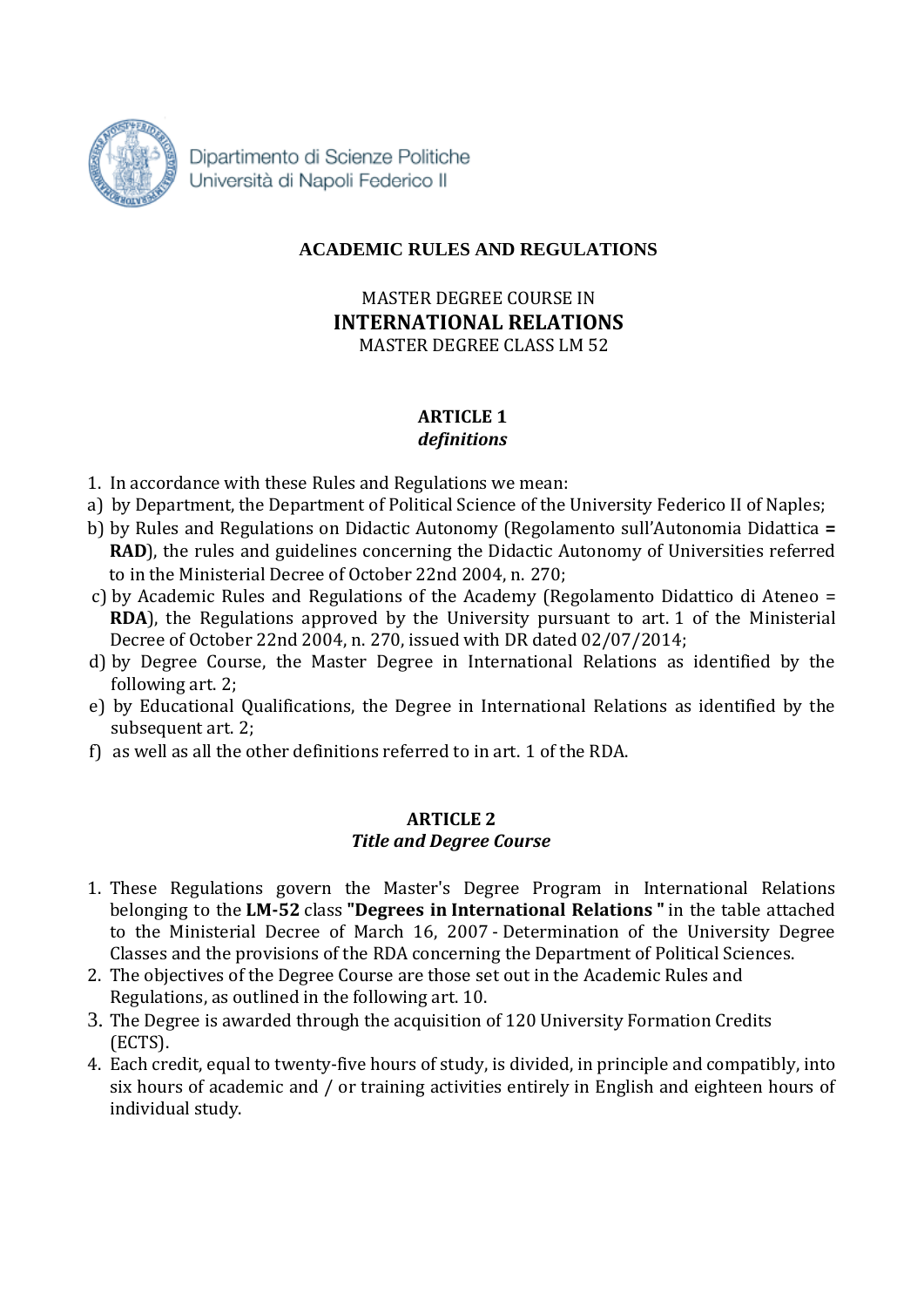

Dipartimento di Scienze Politiche Università di Napoli Federico II

# **ACADEMIC RULES AND REGULATIONS**

MASTER DEGREE COURSE IN **INTERNATIONAL RELATIONS** MASTER DEGREE CLASS LM 52

### **ARTICLE 1** *definitions*

- 1. In accordance with these Rules and Regulations we mean:
- a) by Department, the Department of Political Science of the University Federico II of Naples;
- b) by Rules and Regulations on Didactic Autonomy (Regolamento sull'Autonomia Didattica **= RAD**), the rules and guidelines concerning the Didactic Autonomy of Universities referred to in the Ministerial Decree of October 22nd 2004, n. 270;
- c) by Academic Rules and Regulations of the Academy (Regolamento Didattico di Ateneo = **RDA**), the Regulations approved by the University pursuant to art. 1 of the Ministerial Decree of October 22nd 2004, n. 270, issued with DR dated 02/07/2014;
- d) by Degree Course, the Master Degree in International Relations as identified by the following art. 2;
- e) by Educational Qualifications, the Degree in International Relations as identified by the subsequent art. 2;
- f) as well as all the other definitions referred to in art. 1 of the RDA.

### **ARTICLE 2** *Title and Degree Course*

- 1. These Regulations govern the Master's Degree Program in International Relations belonging to the **LM-52** class **"Degrees in International Relations "** in the table attached to the Ministerial Decree of March 16, 2007 - Determination of the University Degree Classes and the provisions of the RDA concerning the Department of Political Sciences.
- 2. The objectives of the Degree Course are those set out in the Academic Rules and Regulations, as outlined in the following art. 10.
- 3. The Degree is awarded through the acquisition of 120 University Formation Credits (ECTS).
- 4. Each credit, equal to twenty-five hours of study, is divided, in principle and compatibly, into six hours of academic and / or training activities entirely in English and eighteen hours of individual study.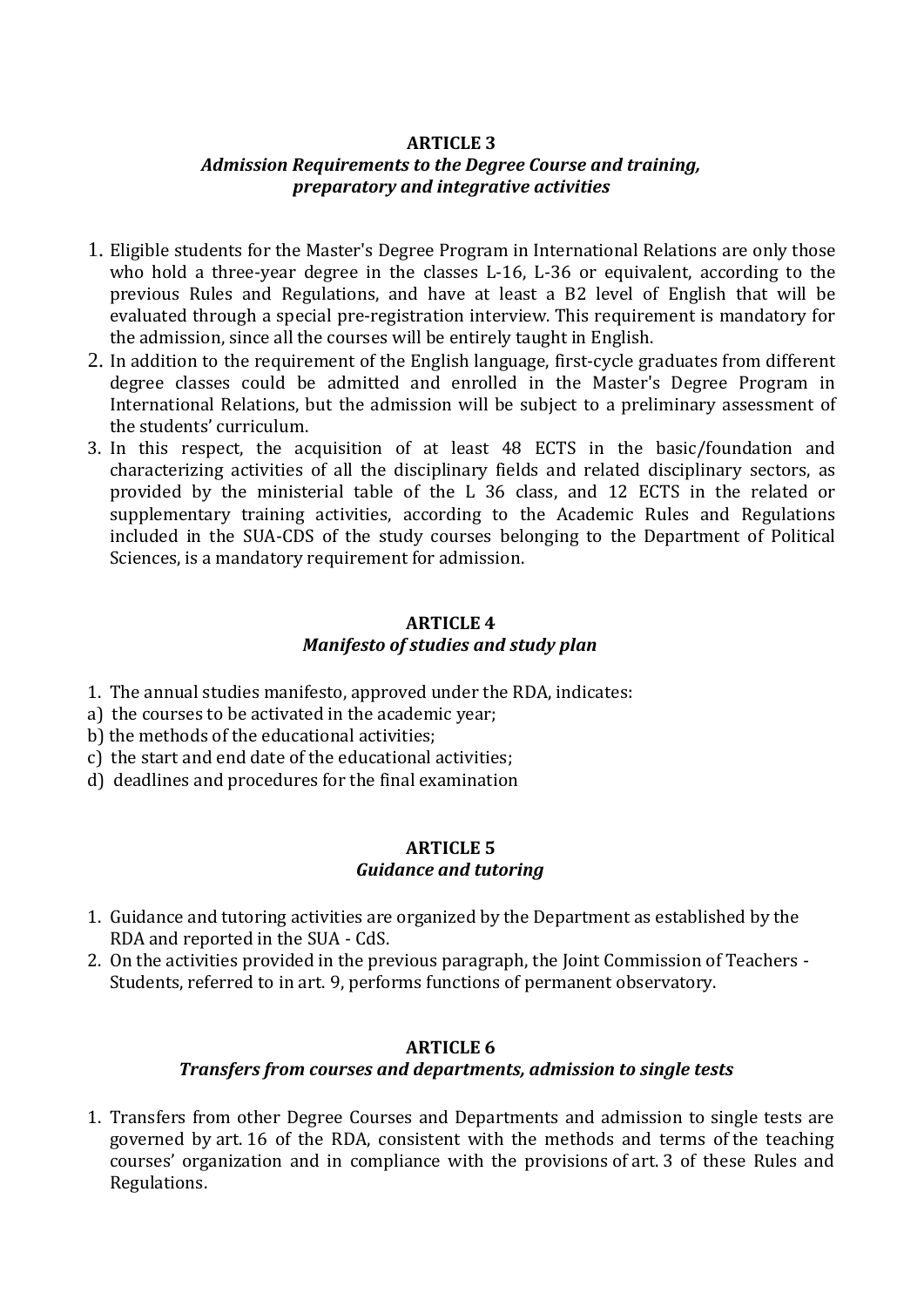## **ARTICLE 3**

## *Admission Requirements to the Degree Course and training, preparatory and integrative activities*

- 1. Eligible students for the Master's Degree Program in International Relations are only those who hold a three-year degree in the classes L-16, L-36 or equivalent, according to the previous Rules and Regulations, and have at least a B2 level of English that will be evaluated through a special pre-registration interview. This requirement is mandatory for the admission, since all the courses will be entirely taught in English.
- 2. In addition to the requirement of the English language, first-cycle graduates from different degree classes could be admitted and enrolled in the Master's Degree Program in International Relations, but the admission will be subject to a preliminary assessment of the students' curriculum.
- 3. In this respect, the acquisition of at least 48 ECTS in the basic/foundation and characterizing activities of all the disciplinary fields and related disciplinary sectors, as provided by the ministerial table of the L 36 class, and 12 ECTS in the related or supplementary training activities, according to the Academic Rules and Regulations included in the SUA-CDS of the study courses belonging to the Department of Political Sciences, is a mandatory requirement for admission.

## **ARTICLE 4** *Manifesto of studies and study plan*

- 1. The annual studies manifesto, approved under the RDA, indicates:
- a) the courses to be activated in the academic year;
- b) the methods of the educational activities;
- c) the start and end date of the educational activities;
- d) deadlines and procedures for the final examination

### **ARTICLE 5** *Guidance and tutoring*

- 1. Guidance and tutoring activities are organized by the Department as established by the RDA and reported in the SUA - CdS.
- 2. On the activities provided in the previous paragraph, the Joint Commission of Teachers Students, referred to in art. 9, performs functions of permanent observatory.

## **ARTICLE 6** *Transfers from courses and departments, admission to single tests*

1. Transfers from other Degree Courses and Departments and admission to single tests are governed by art. 16 of the RDA, consistent with the methods and terms of the teaching courses' organization and in compliance with the provisions of art. 3 of these Rules and Regulations.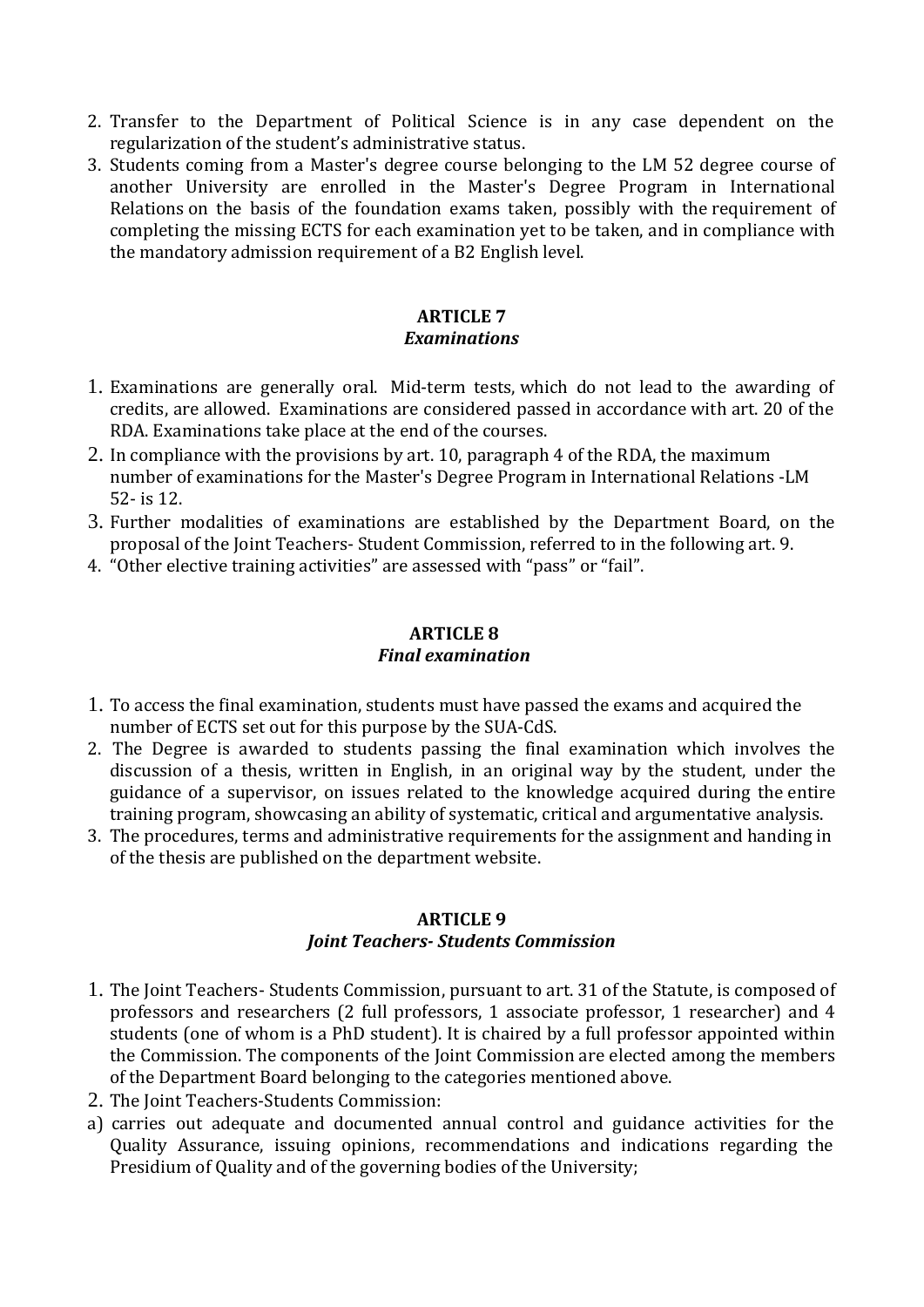- 2. Transfer to the Department of Political Science is in any case dependent on the regularization of the student's administrative status.
- 3. Students coming from a Master's degree course belonging to the LM 52 degree course of another University are enrolled in the Master's Degree Program in International Relations on the basis of the foundation exams taken, possibly with the requirement of completing the missing ECTS for each examination yet to be taken, and in compliance with the mandatory admission requirement of a B2 English level.

#### **ARTICLE 7** *Examinations*

- 1. Examinations are generally oral. Mid-term tests, which do not lead to the awarding of credits, are allowed. Examinations are considered passed in accordance with art. 20 of the RDA. Examinations take place at the end of the courses.
- 2. In compliance with the provisions by art. 10, paragraph 4 of the RDA, the maximum number of examinations for the Master's Degree Program in International Relations -LM 52- is 12.
- 3. Further modalities of examinations are established by the Department Board, on the proposal of the Joint Teachers- Student Commission, referred to in the following art. 9.
- 4. "Other elective training activities" are assessed with "pass" or "fail".

#### **ARTICLE 8** *Final examination*

- 1. To access the final examination, students must have passed the exams and acquired the number of ECTS set out for this purpose by the SUA-CdS.
- 2. The Degree is awarded to students passing the final examination which involves the discussion of a thesis, written in English, in an original way by the student, under the guidance of a supervisor, on issues related to the knowledge acquired during the entire training program, showcasing an ability of systematic, critical and argumentative analysis.
- 3. The procedures, terms and administrative requirements for the assignment and handing in of the thesis are published on the department website.

# **ARTICLE 9**

# *Joint Teachers- Students Commission*

- 1. The Joint Teachers- Students Commission, pursuant to art. 31 of the Statute, is composed of professors and researchers (2 full professors, 1 associate professor, 1 researcher) and 4 students (one of whom is a PhD student). It is chaired by a full professor appointed within the Commission. The components of the Joint Commission are elected among the members of the Department Board belonging to the categories mentioned above.
- 2. The Joint Teachers-Students Commission:
- a) carries out adequate and documented annual control and guidance activities for the Quality Assurance, issuing opinions, recommendations and indications regarding the Presidium of Quality and of the governing bodies of the University;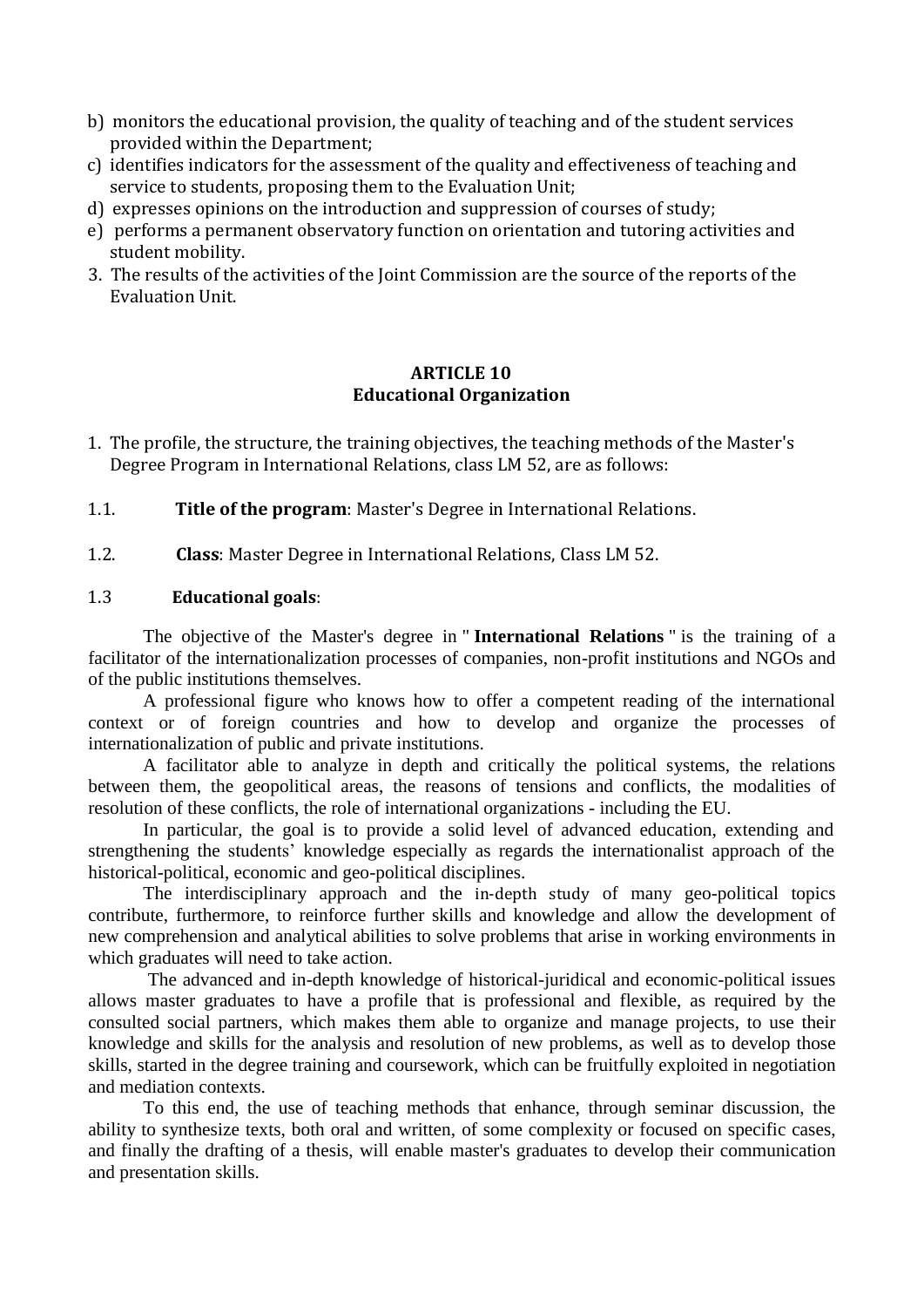- b) monitors the educational provision, the quality of teaching and of the student services provided within the Department;
- c) identifies indicators for the assessment of the quality and effectiveness of teaching and service to students, proposing them to the Evaluation Unit;
- d) expresses opinions on the introduction and suppression of courses of study;
- e) performs a permanent observatory function on orientation and tutoring activities and student mobility.
- 3. The results of the activities of the Joint Commission are the source of the reports of the Evaluation Unit.

### **ARTICLE 10 Educational Organization**

- 1. The profile, the structure, the training objectives, the teaching methods of the Master's Degree Program in International Relations, class LM 52, are as follows:
- 1.1. **Title of the program**: Master's Degree in International Relations.
- 1.2. **Class**: Master Degree in International Relations, Class LM 52.

#### 1.3 **Educational goals**:

The objective of the Master's degree in " **International Relations** " is the training of a facilitator of the internationalization processes of companies, non-profit institutions and NGOs and of the public institutions themselves.

A professional figure who knows how to offer a competent reading of the international context or of foreign countries and how to develop and organize the processes of internationalization of public and private institutions.

A facilitator able to analyze in depth and critically the political systems, the relations between them, the geopolitical areas, the reasons of tensions and conflicts, the modalities of resolution of these conflicts, the role of international organizations - including the EU.

In particular, the goal is to provide a solid level of advanced education, extending and strengthening the students' knowledge especially as regards the internationalist approach of the historical-political, economic and geo-political disciplines.

The interdisciplinary approach and the in-depth study of many geo-political topics contribute, furthermore, to reinforce further skills and knowledge and allow the development of new comprehension and analytical abilities to solve problems that arise in working environments in which graduates will need to take action.

The advanced and in-depth knowledge of historical-juridical and economic-political issues allows master graduates to have a profile that is professional and flexible, as required by the consulted social partners, which makes them able to organize and manage projects, to use their knowledge and skills for the analysis and resolution of new problems, as well as to develop those skills, started in the degree training and coursework, which can be fruitfully exploited in negotiation and mediation contexts.

To this end, the use of teaching methods that enhance, through seminar discussion, the ability to synthesize texts, both oral and written, of some complexity or focused on specific cases, and finally the drafting of a thesis, will enable master's graduates to develop their communication and presentation skills.